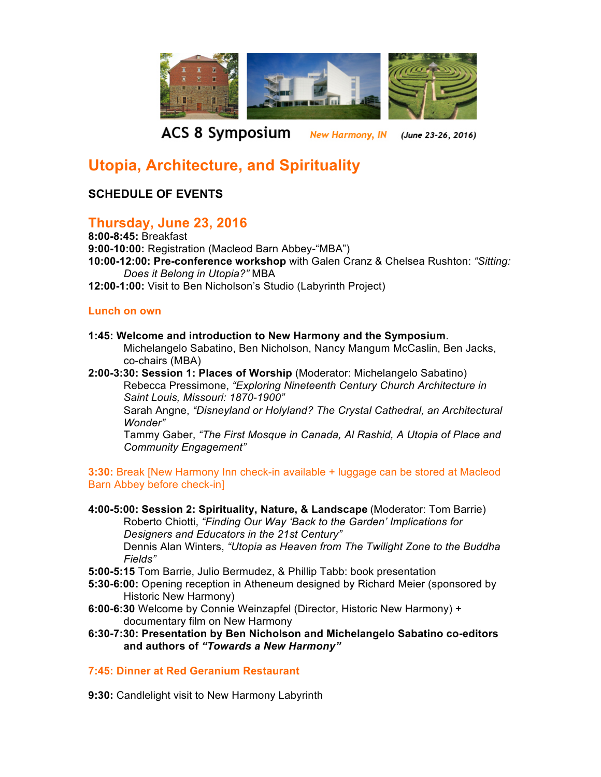

**ACS 8 Symposium** New Harmony, IN (June 23-26, 2016)

# **Utopia, Architecture, and Spirituality**

# **SCHEDULE OF EVENTS**

# **Thursday, June 23, 2016**

**8:00-8:45:** Breakfast **9:00-10:00:** Registration (Macleod Barn Abbey-"MBA") **10:00-12:00: Pre-conference workshop** with Galen Cranz & Chelsea Rushton: *"Sitting: Does it Belong in Utopia?"* MBA **12:00-1:00:** Visit to Ben Nicholson's Studio (Labyrinth Project)

#### **Lunch on own**

- **1:45: Welcome and introduction to New Harmony and the Symposium**. Michelangelo Sabatino, Ben Nicholson, Nancy Mangum McCaslin, Ben Jacks, co-chairs (MBA)
- **2:00-3:30: Session 1: Places of Worship** (Moderator: Michelangelo Sabatino) Rebecca Pressimone, *"Exploring Nineteenth Century Church Architecture in Saint Louis, Missouri: 1870-1900"*

Sarah Angne, *"Disneyland or Holyland? The Crystal Cathedral, an Architectural Wonder"*

Tammy Gaber, *"The First Mosque in Canada, Al Rashid, A Utopia of Place and Community Engagement"*

**3:30:** Break [New Harmony Inn check-in available + luggage can be stored at Macleod Barn Abbey before check-in]

- **4:00-5:00: Session 2: Spirituality, Nature, & Landscape** (Moderator: Tom Barrie) Roberto Chiotti, *"Finding Our Way 'Back to the Garden' Implications for Designers and Educators in the 21st Century"* Dennis Alan Winters, *"Utopia as Heaven from The Twilight Zone to the Buddha Fields"*
- **5:00-5:15** Tom Barrie, Julio Bermudez, & Phillip Tabb: book presentation
- **5:30-6:00:** Opening reception in Atheneum designed by Richard Meier (sponsored by Historic New Harmony)
- **6:00-6:30** Welcome by Connie Weinzapfel (Director, Historic New Harmony) + documentary film on New Harmony
- **6:30-7:30: Presentation by Ben Nicholson and Michelangelo Sabatino co-editors and authors of** *"Towards a New Harmony"*

### **7:45: Dinner at Red Geranium Restaurant**

**9:30:** Candlelight visit to New Harmony Labyrinth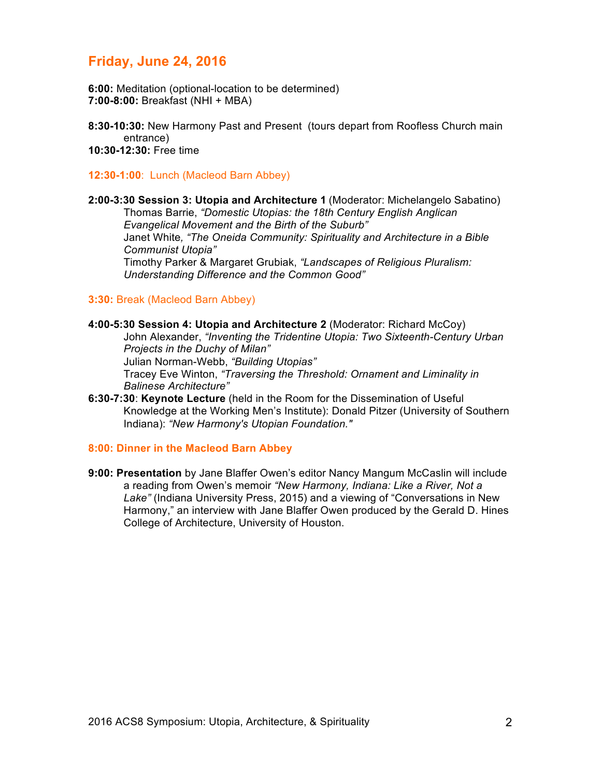# **Friday, June 24, 2016**

**6:00:** Meditation (optional-location to be determined) **7:00-8:00:** Breakfast (NHI + MBA)

**8:30-10:30:** New Harmony Past and Present (tours depart from Roofless Church main entrance) **10:30-12:30:** Free time

**12:30-1:00**: Lunch (Macleod Barn Abbey)

**2:00-3:30 Session 3: Utopia and Architecture 1** (Moderator: Michelangelo Sabatino) Thomas Barrie, *"Domestic Utopias: the 18th Century English Anglican Evangelical Movement and the Birth of the Suburb"* Janet White*, "The Oneida Community: Spirituality and Architecture in a Bible Communist Utopia"* Timothy Parker & Margaret Grubiak, *"Landscapes of Religious Pluralism: Understanding Difference and the Common Good"*

#### **3:30:** Break (Macleod Barn Abbey)

- **4:00-5:30 Session 4: Utopia and Architecture 2** (Moderator: Richard McCoy) John Alexander, *"Inventing the Tridentine Utopia: Two Sixteenth-Century Urban Projects in the Duchy of Milan"* Julian Norman-Webb, *"Building Utopias"* Tracey Eve Winton, *"Traversing the Threshold: Ornament and Liminality in Balinese Architecture"* **6:30-7:30**: **Keynote Lecture** (held in the Room for the Dissemination of Useful
- Knowledge at the Working Men's Institute): Donald Pitzer (University of Southern Indiana): *"New Harmony's Utopian Foundation."*

#### **8:00: Dinner in the Macleod Barn Abbey**

**9:00: Presentation** by Jane Blaffer Owen's editor Nancy Mangum McCaslin will include a reading from Owen's memoir *"New Harmony, Indiana: Like a River, Not a Lake"* (Indiana University Press, 2015) and a viewing of "Conversations in New Harmony," an interview with Jane Blaffer Owen produced by the Gerald D. Hines College of Architecture, University of Houston.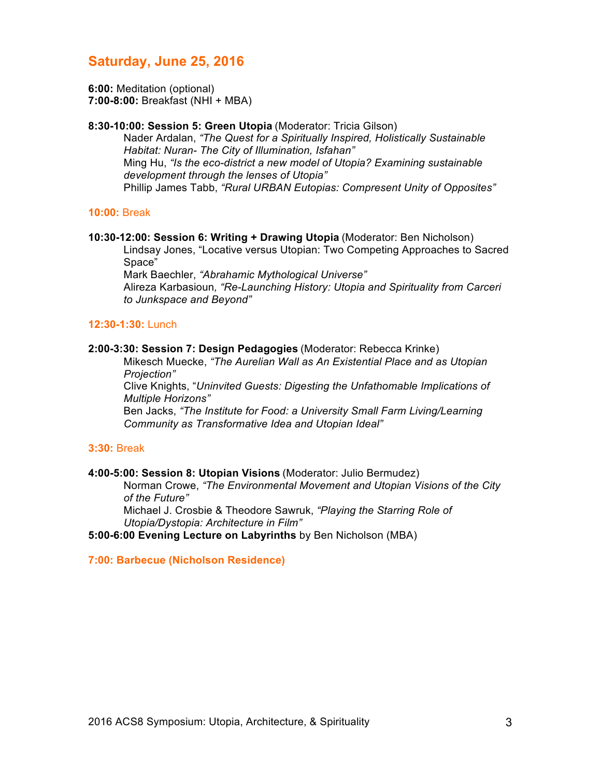# **Saturday, June 25, 2016**

**6:00:** Meditation (optional) **7:00-8:00:** Breakfast (NHI + MBA)

#### **8:30-10:00: Session 5: Green Utopia** (Moderator: Tricia Gilson)

Nader Ardalan, *"The Quest for a Spiritually Inspired, Holistically Sustainable Habitat: Nuran- The City of Illumination, Isfahan"* Ming Hu, *"Is the eco-district a new model of Utopia? Examining sustainable development through the lenses of Utopia"* Phillip James Tabb, *"Rural URBAN Eutopias: Compresent Unity of Opposites"*

#### **10:00:** Break

#### **10:30-12:00: Session 6: Writing + Drawing Utopia** (Moderator: Ben Nicholson) Lindsay Jones, "Locative versus Utopian: Two Competing Approaches to Sacred Space"

Mark Baechler, *"Abrahamic Mythological Universe"* Alireza Karbasioun*, "Re-Launching History: Utopia and Spirituality from Carceri to Junkspace and Beyond"*

#### **12:30-1:30:** Lunch

#### **2:00-3:30: Session 7: Design Pedagogies** (Moderator: Rebecca Krinke)

Mikesch Muecke, *"The Aurelian Wall as An Existential Place and as Utopian Projection"*

Clive Knights, "*Uninvited Guests: Digesting the Unfathomable Implications of Multiple Horizons"*

Ben Jacks, *"The Institute for Food: a University Small Farm Living/Learning Community as Transformative Idea and Utopian Ideal"*

#### **3:30:** Break

#### **4:00-5:00: Session 8: Utopian Visions** (Moderator: Julio Bermudez)

Norman Crowe, *"The Environmental Movement and Utopian Visions of the City of the Future"*

Michael J. Crosbie & Theodore Sawruk, *"Playing the Starring Role of Utopia/Dystopia: Architecture in Film"*

**5:00-6:00 Evening Lecture on Labyrinths** by Ben Nicholson (MBA)

**7:00: Barbecue (Nicholson Residence)**